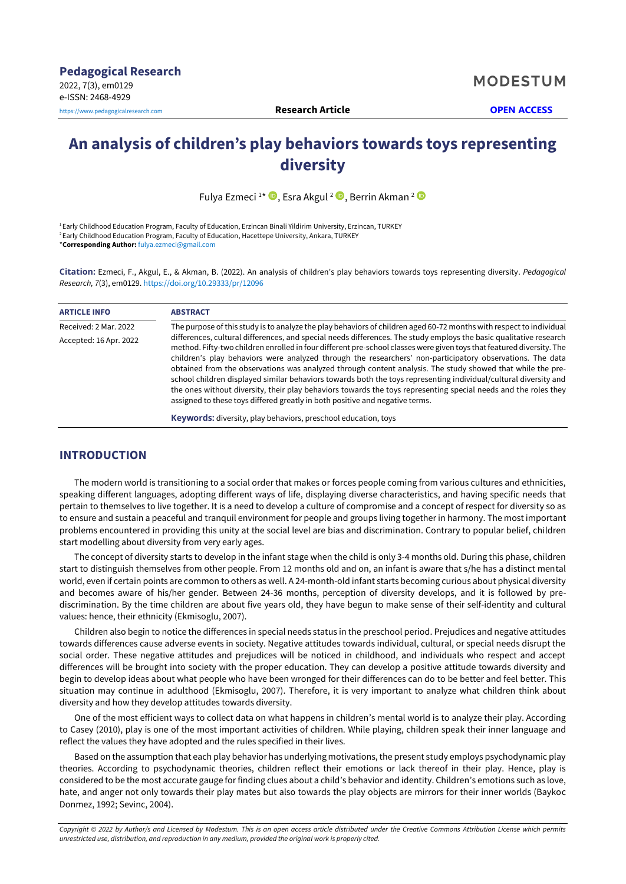# **An analysis of children's play behaviors towards toys representing diversity**

Fulya Ezmeci <sup>1\*</sup> (D, Esra Akgul <sup>2</sup> (D, Berrin Akman <sup>2</sup>

<sup>1</sup>Early Childhood Education Program, Faculty of Education, Erzincan Binali Yildirim University, Erzincan, TURKEY <sup>2</sup> Early Childhood Education Program, Faculty of Education, Hacettepe University, Ankara, TURKEY \***Corresponding Author:** [fulya.ezmeci@gmail.com](mailto:fulya.ezmeci@gmail.com)

**Citation:** Ezmeci, F., Akgul, E., & Akman, B. (2022). An analysis of children's play behaviors towards toys representing diversity. *Pedagogical Research, 7*(3), em0129. <https://doi.org/10.29333/pr/12096>

| <b>ARTICLE INFO</b>    | <b>ABSTRACT</b>                                                                                                                                                                                                                                                                                                                                                                                                                                                                                                                                                                                                                                                                                                                                                                               |
|------------------------|-----------------------------------------------------------------------------------------------------------------------------------------------------------------------------------------------------------------------------------------------------------------------------------------------------------------------------------------------------------------------------------------------------------------------------------------------------------------------------------------------------------------------------------------------------------------------------------------------------------------------------------------------------------------------------------------------------------------------------------------------------------------------------------------------|
| Received: 2 Mar. 2022  | The purpose of this study is to analyze the play behaviors of children aged 60-72 months with respect to individual                                                                                                                                                                                                                                                                                                                                                                                                                                                                                                                                                                                                                                                                           |
| Accepted: 16 Apr. 2022 | differences, cultural differences, and special needs differences. The study employs the basic qualitative research<br>method. Fifty-two children enrolled in four different pre-school classes were given toys that featured diversity. The<br>children's play behaviors were analyzed through the researchers' non-participatory observations. The data<br>obtained from the observations was analyzed through content analysis. The study showed that while the pre-<br>school children displayed similar behaviors towards both the toys representing individual/cultural diversity and<br>the ones without diversity, their play behaviors towards the toys representing special needs and the roles they<br>assigned to these toys differed greatly in both positive and negative terms. |
|                        | <b>Keywords:</b> diversity, play behaviors, preschool education, toys                                                                                                                                                                                                                                                                                                                                                                                                                                                                                                                                                                                                                                                                                                                         |

# **INTRODUCTION**

The modern world is transitioning to a social order that makes or forces people coming from various cultures and ethnicities, speaking different languages, adopting different ways of life, displaying diverse characteristics, and having specific needs that pertain to themselves to live together. It is a need to develop a culture of compromise and a concept of respect for diversity so as to ensure and sustain a peaceful and tranquil environment for people and groups living together in harmony. The most important problems encountered in providing this unity at the social level are bias and discrimination. Contrary to popular belief, children start modelling about diversity from very early ages.

The concept of diversity starts to develop in the infant stage when the child is only 3-4 months old. During this phase, children start to distinguish themselves from other people. From 12 months old and on, an infant is aware that s/he has a distinct mental world, even if certain points are common to others as well. A 24-month-old infant starts becoming curious about physical diversity and becomes aware of his/her gender. Between 24-36 months, perception of diversity develops, and it is followed by prediscrimination. By the time children are about five years old, they have begun to make sense of their self-identity and cultural values: hence, their ethnicity (Ekmisoglu, 2007).

Children also begin to notice the differences in special needs status in the preschool period. Prejudices and negative attitudes towards differences cause adverse events in society. Negative attitudes towards individual, cultural, or special needs disrupt the social order. These negative attitudes and prejudices will be noticed in childhood, and individuals who respect and accept differences will be brought into society with the proper education. They can develop a positive attitude towards diversity and begin to develop ideas about what people who have been wronged for their differences can do to be better and feel better. This situation may continue in adulthood (Ekmisoglu, 2007). Therefore, it is very important to analyze what children think about diversity and how they develop attitudes towards diversity.

One of the most efficient ways to collect data on what happens in children's mental world is to analyze their play. According to Casey (2010), play is one of the most important activities of children. While playing, children speak their inner language and reflect the values they have adopted and the rules specified in their lives.

Based on the assumption that each play behavior has underlying motivations, the present study employs psychodynamic play theories. According to psychodynamic theories, children reflect their emotions or lack thereof in their play. Hence, play is considered to be the most accurate gauge for finding clues about a child's behavior and identity. Children's emotions such as love, hate, and anger not only towards their play mates but also towards the play objects are mirrors for their inner worlds (Baykoc Donmez, 1992; Sevinc, 2004).

*Copyright © 2022 by Author/s and Licensed by Modestum. This is an open access article distributed under the Creative Commons Attribution License which permits unrestricted use, distribution, and reproduction in any medium, provided the original work is properly cited.*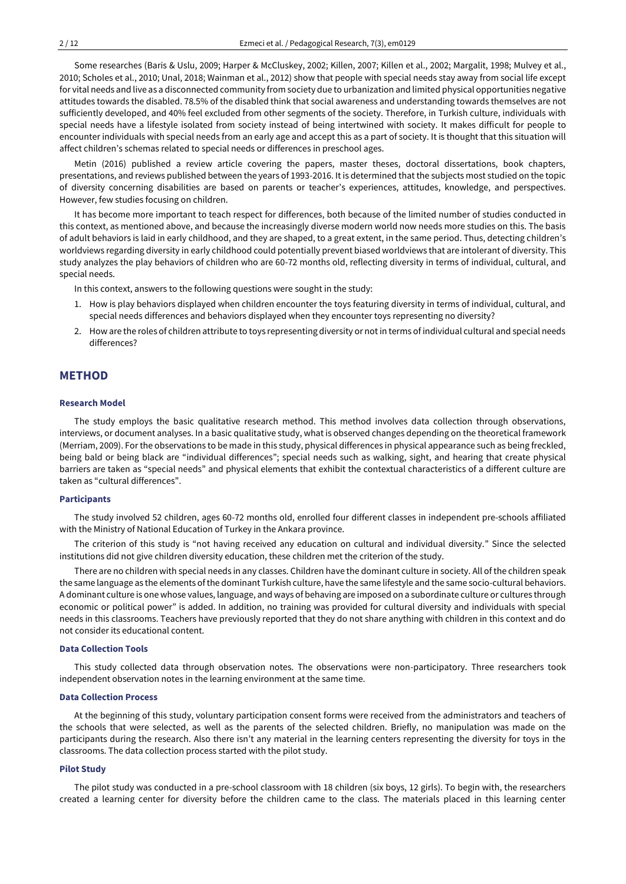Some researches (Baris & Uslu, 2009; Harper & McCluskey, 2002; Killen, 2007; Killen et al., 2002; Margalit, 1998; Mulvey et al., 2010; Scholes et al., 2010; Unal, 2018; Wainman et al., 2012) show that people with special needs stay away from social life except for vital needs and live as a disconnected community from society due to urbanization and limited physical opportunities negative attitudes towards the disabled. 78.5% of the disabled think that social awareness and understanding towards themselves are not sufficiently developed, and 40% feel excluded from other segments of the society. Therefore, in Turkish culture, individuals with special needs have a lifestyle isolated from society instead of being intertwined with society. It makes difficult for people to encounter individuals with special needs from an early age and accept this as a part of society. It is thought that this situation will affect children's schemas related to special needs or differences in preschool ages.

Metin (2016) published a review article covering the papers, master theses, doctoral dissertations, book chapters, presentations, and reviews published between the years of 1993-2016. It is determined that the subjects most studied on the topic of diversity concerning disabilities are based on parents or teacher's experiences, attitudes, knowledge, and perspectives. However, few studies focusing on children.

It has become more important to teach respect for differences, both because of the limited number of studies conducted in this context, as mentioned above, and because the increasingly diverse modern world now needs more studies on this. The basis of adult behaviors is laid in early childhood, and they are shaped, to a great extent, in the same period. Thus, detecting children's worldviews regarding diversity in early childhood could potentially prevent biased worldviews that are intolerant of diversity. This study analyzes the play behaviors of children who are 60-72 months old, reflecting diversity in terms of individual, cultural, and special needs.

In this context, answers to the following questions were sought in the study:

- 1. How is play behaviors displayed when children encounter the toys featuring diversity in terms of individual, cultural, and special needs differences and behaviors displayed when they encounter toys representing no diversity?
- 2. How are the roles of children attribute to toys representing diversity or not in terms of individual cultural and special needs differences?

### **METHOD**

#### **Research Model**

The study employs the basic qualitative research method. This method involves data collection through observations, interviews, or document analyses. In a basic qualitative study, what is observed changes depending on the theoretical framework (Merriam, 2009). For the observations to be made in this study, physical differences in physical appearance such as being freckled, being bald or being black are "individual differences"; special needs such as walking, sight, and hearing that create physical barriers are taken as "special needs" and physical elements that exhibit the contextual characteristics of a different culture are taken as "cultural differences".

### **Participants**

The study involved 52 children, ages 60-72 months old, enrolled four different classes in independent pre-schools affiliated with the Ministry of National Education of Turkey in the Ankara province.

The criterion of this study is "not having received any education on cultural and individual diversity." Since the selected institutions did not give children diversity education, these children met the criterion of the study.

There are no children with special needs in any classes. Children have the dominant culture in society. All of the children speak the same language as the elements of the dominant Turkish culture, have the same lifestyle and the same socio-cultural behaviors. A dominant culture is one whose values, language, and ways of behaving are imposed on a subordinate culture or cultures through economic or political power" is added. In addition, no training was provided for cultural diversity and individuals with special needs in this classrooms. Teachers have previously reported that they do not share anything with children in this context and do not consider its educational content.

#### **Data Collection Tools**

This study collected data through observation notes. The observations were non-participatory. Three researchers took independent observation notes in the learning environment at the same time.

#### **Data Collection Process**

At the beginning of this study, voluntary participation consent forms were received from the administrators and teachers of the schools that were selected, as well as the parents of the selected children. Briefly, no manipulation was made on the participants during the research. Also there isn't any material in the learning centers representing the diversity for toys in the classrooms. The data collection process started with the pilot study.

#### **Pilot Study**

The pilot study was conducted in a pre-school classroom with 18 children (six boys, 12 girls). To begin with, the researchers created a learning center for diversity before the children came to the class. The materials placed in this learning center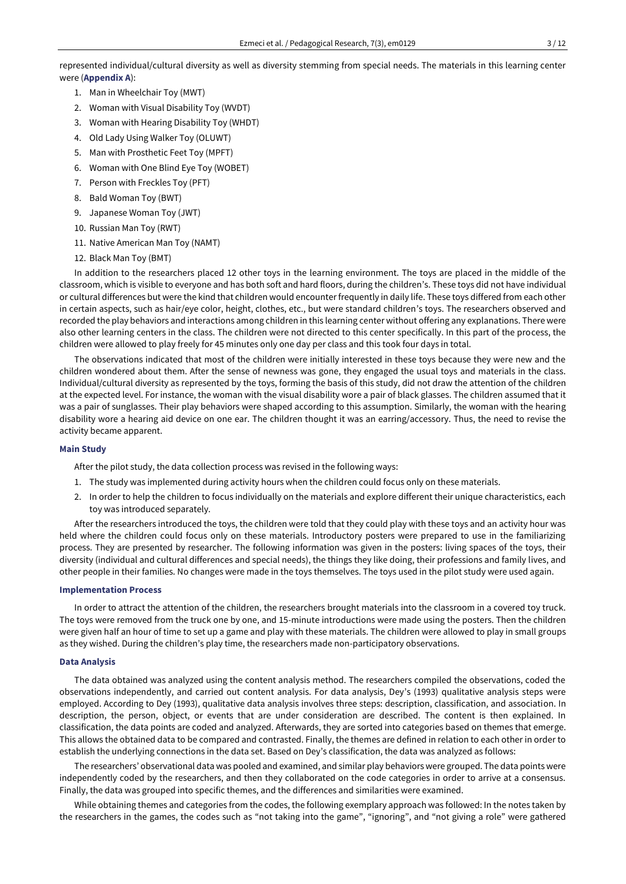represented individual/cultural diversity as well as diversity stemming from special needs. The materials in this learning center were (**Appendix A**):

- 1. Man in Wheelchair Toy (MWT)
- 2. Woman with Visual Disability Toy (WVDT)
- 3. Woman with Hearing Disability Toy (WHDT)
- 4. Old Lady Using Walker Toy (OLUWT)
- 5. Man with Prosthetic Feet Toy (MPFT)
- 6. Woman with One Blind Eye Toy (WOBET)
- 7. Person with Freckles Toy (PFT)
- 8. Bald Woman Toy (BWT)
- 9. Japanese Woman Toy (JWT)
- 10. Russian Man Toy (RWT)
- 11. Native American Man Toy (NAMT)
- 12. Black Man Toy (BMT)

In addition to the researchers placed 12 other toys in the learning environment. The toys are placed in the middle of the classroom, which is visible to everyone and has both soft and hard floors, during the children's. These toys did not have individual or cultural differences but were the kind that children would encounter frequently in daily life. These toys differed from each other in certain aspects, such as hair/eye color, height, clothes, etc., but were standard children's toys. The researchers observed and recorded the play behaviors and interactions among children in this learning center without offering any explanations. There were also other learning centers in the class. The children were not directed to this center specifically. In this part of the process, the children were allowed to play freely for 45 minutes only one day per class and this took four days in total.

The observations indicated that most of the children were initially interested in these toys because they were new and the children wondered about them. After the sense of newness was gone, they engaged the usual toys and materials in the class. Individual/cultural diversity as represented by the toys, forming the basis of this study, did not draw the attention of the children at the expected level. For instance, the woman with the visual disability wore a pair of black glasses. The children assumed that it was a pair of sunglasses. Their play behaviors were shaped according to this assumption. Similarly, the woman with the hearing disability wore a hearing aid device on one ear. The children thought it was an earring/accessory. Thus, the need to revise the activity became apparent.

#### **Main Study**

After the pilot study, the data collection process was revised in the following ways:

- 1. The study was implemented during activity hours when the children could focus only on these materials.
- 2. In order to help the children to focus individually on the materials and explore different their unique characteristics, each toy was introduced separately.

After the researchers introduced the toys, the children were told that they could play with these toys and an activity hour was held where the children could focus only on these materials. Introductory posters were prepared to use in the familiarizing process. They are presented by researcher. The following information was given in the posters: living spaces of the toys, their diversity (individual and cultural differences and special needs), the things they like doing, their professions and family lives, and other people in their families. No changes were made in the toys themselves. The toys used in the pilot study were used again.

#### **Implementation Process**

In order to attract the attention of the children, the researchers brought materials into the classroom in a covered toy truck. The toys were removed from the truck one by one, and 15-minute introductions were made using the posters. Then the children were given half an hour of time to set up a game and play with these materials. The children were allowed to play in small groups as they wished. During the children's play time, the researchers made non-participatory observations.

#### **Data Analysis**

The data obtained was analyzed using the content analysis method. The researchers compiled the observations, coded the observations independently, and carried out content analysis. For data analysis, Dey's (1993) qualitative analysis steps were employed. According to Dey (1993), qualitative data analysis involves three steps: description, classification, and association. In description, the person, object, or events that are under consideration are described. The content is then explained. In classification, the data points are coded and analyzed. Afterwards, they are sorted into categories based on themes that emerge. This allows the obtained data to be compared and contrasted. Finally, the themes are defined in relation to each other in order to establish the underlying connections in the data set. Based on Dey's classification, the data was analyzed as follows:

The researchers' observational data was pooled and examined, and similar play behaviors were grouped. The data points were independently coded by the researchers, and then they collaborated on the code categories in order to arrive at a consensus. Finally, the data was grouped into specific themes, and the differences and similarities were examined.

While obtaining themes and categories from the codes, the following exemplary approach was followed: In the notes taken by the researchers in the games, the codes such as "not taking into the game", "ignoring", and "not giving a role" were gathered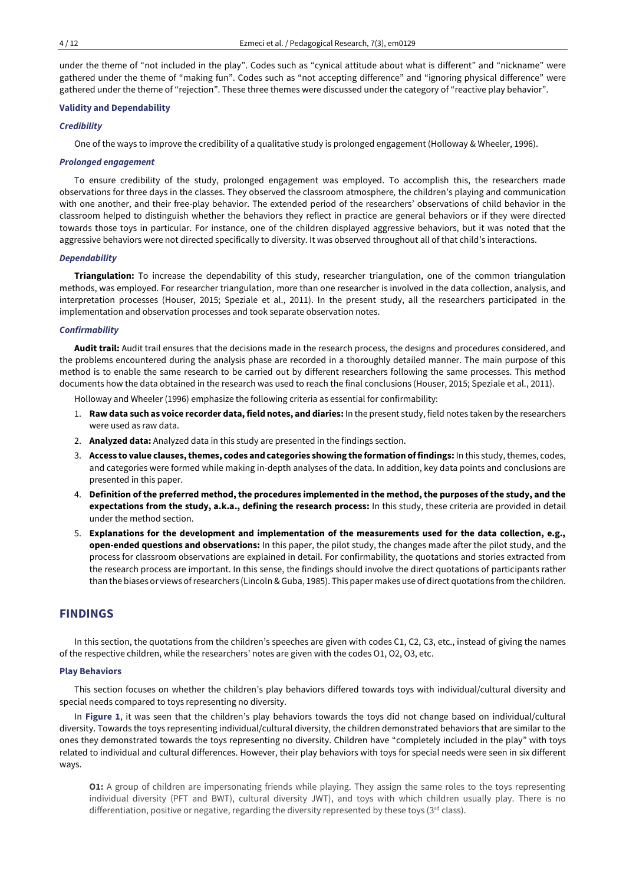under the theme of "not included in the play". Codes such as "cynical attitude about what is different" and "nickname" were gathered under the theme of "making fun". Codes such as "not accepting difference" and "ignoring physical difference" were gathered under the theme of "rejection". These three themes were discussed under the category of "reactive play behavior".

#### **Validity and Dependability**

#### *Credibility*

One of the ways to improve the credibility of a qualitative study is prolonged engagement (Holloway & Wheeler, 1996).

#### *Prolonged engagement*

To ensure credibility of the study, prolonged engagement was employed. To accomplish this, the researchers made observations for three days in the classes. They observed the classroom atmosphere*,* the children's playing and communication with one another, and their free-play behavior. The extended period of the researchers' observations of child behavior in the classroom helped to distinguish whether the behaviors they reflect in practice are general behaviors or if they were directed towards those toys in particular. For instance, one of the children displayed aggressive behaviors, but it was noted that the aggressive behaviors were not directed specifically to diversity. It was observed throughout all of that child's interactions.

#### *Dependability*

**Triangulation:** To increase the dependability of this study, researcher triangulation, one of the common triangulation methods, was employed. For researcher triangulation, more than one researcher is involved in the data collection, analysis, and interpretation processes (Houser, 2015; Speziale et al., 2011). In the present study, all the researchers participated in the implementation and observation processes and took separate observation notes.

#### *Confirmability*

**Audit trail:** Audit trail ensures that the decisions made in the research process, the designs and procedures considered, and the problems encountered during the analysis phase are recorded in a thoroughly detailed manner. The main purpose of this method is to enable the same research to be carried out by different researchers following the same processes. This method documents how the data obtained in the research was used to reach the final conclusions (Houser, 2015; Speziale et al., 2011).

Holloway and Wheeler (1996) emphasize the following criteria as essential for confirmability:

- 1. **Raw data such as voice recorder data, field notes, and diaries:** In the present study, field notes taken by the researchers were used as raw data.
- 2. **Analyzed data:** Analyzed data in this study are presented in the findings section.
- 3. **Access to value clauses, themes, codes and categories showing the formation of findings:** In this study, themes, codes, and categories were formed while making in-depth analyses of the data. In addition, key data points and conclusions are presented in this paper.
- 4. **Definition of the preferred method, the procedures implemented in the method, the purposes of the study, and the expectations from the study, a.k.a., defining the research process:** In this study, these criteria are provided in detail under the method section.
- 5. **Explanations for the development and implementation of the measurements used for the data collection, e.g., open-ended questions and observations:** In this paper, the pilot study, the changes made after the pilot study, and the process for classroom observations are explained in detail. For confirmability, the quotations and stories extracted from the research process are important. In this sense, the findings should involve the direct quotations of participants rather than the biases or views of researchers (Lincoln & Guba, 1985). This paper makes use of direct quotations from the children.

## **FINDINGS**

In this section, the quotations from the children's speeches are given with codes C1, C2, C3, etc., instead of giving the names of the respective children, while the researchers' notes are given with the codes O1, O2, O3, etc.

#### **Play Behaviors**

This section focuses on whether the children's play behaviors differed towards toys with individual/cultural diversity and special needs compared to toys representing no diversity.

In **Figure 1**, it was seen that the children's play behaviors towards the toys did not change based on individual/cultural diversity. Towards the toys representing individual/cultural diversity, the children demonstrated behaviors that are similar to the ones they demonstrated towards the toys representing no diversity. Children have "completely included in the play" with toys related to individual and cultural differences. However, their play behaviors with toys for special needs were seen in six different ways.

**O1:** A group of children are impersonating friends while playing. They assign the same roles to the toys representing individual diversity (PFT and BWT), cultural diversity JWT), and toys with which children usually play. There is no differentiation, positive or negative, regarding the diversity represented by these toys ( $3<sup>rd</sup>$  class).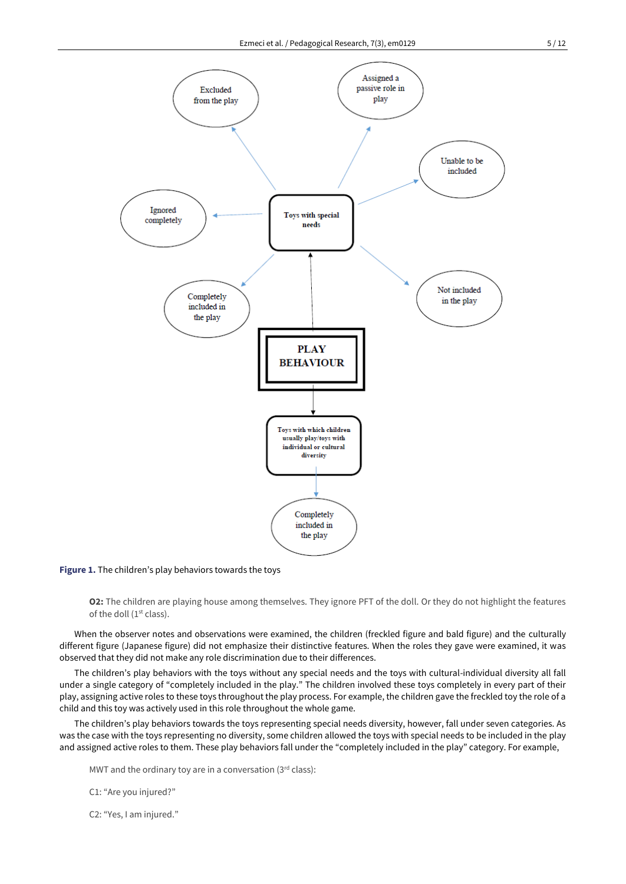

**Figure 1.** The children's play behaviors towards the toys

**O2:** The children are playing house among themselves. They ignore PFT of the doll. Or they do not highlight the features of the doll (1<sup>st</sup> class).

When the observer notes and observations were examined, the children (freckled figure and bald figure) and the culturally different figure (Japanese figure) did not emphasize their distinctive features. When the roles they gave were examined, it was observed that they did not make any role discrimination due to their differences.

The children's play behaviors with the toys without any special needs and the toys with cultural-individual diversity all fall under a single category of "completely included in the play." The children involved these toys completely in every part of their play, assigning active roles to these toys throughout the play process. For example, the children gave the freckled toy the role of a child and this toy was actively used in this role throughout the whole game.

The children's play behaviors towards the toys representing special needs diversity, however, fall under seven categories. As was the case with the toys representing no diversity, some children allowed the toys with special needs to be included in the play and assigned active roles to them. These play behaviors fall under the "completely included in the play" category. For example,

MWT and the ordinary toy are in a conversation ( $3<sup>rd</sup>$  class):

C1: "Are you injured?"

C2: "Yes, I am injured."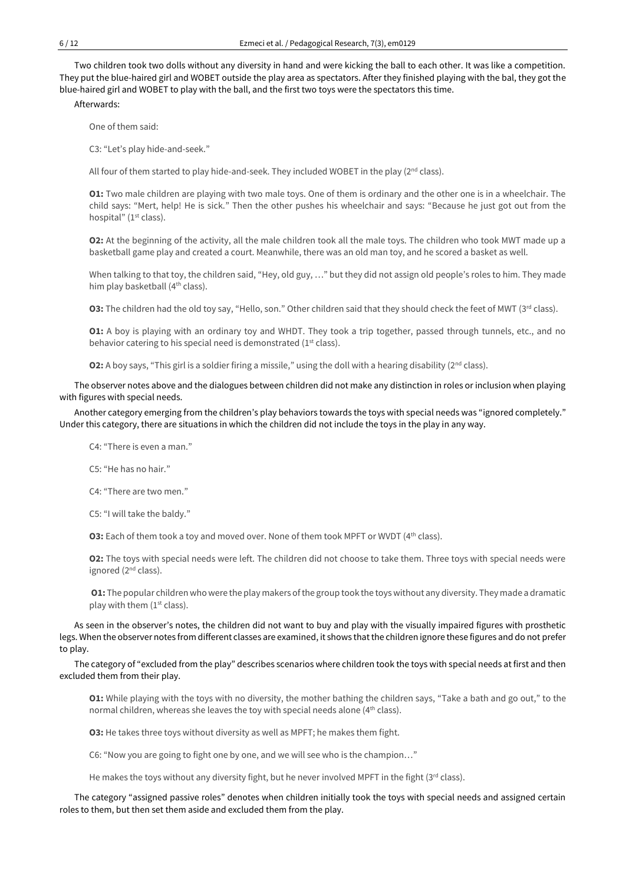Two children took two dolls without any diversity in hand and were kicking the ball to each other. It was like a competition. They put the blue-haired girl and WOBET outside the play area as spectators. After they finished playing with the bal, they got the blue-haired girl and WOBET to play with the ball, and the first two toys were the spectators this time.

Afterwards:

One of them said:

C3: "Let's play hide-and-seek."

All four of them started to play hide-and-seek. They included WOBET in the play ( $2<sup>nd</sup>$  class).

**O1:** Two male children are playing with two male toys. One of them is ordinary and the other one is in a wheelchair. The child says: "Mert, help! He is sick." Then the other pushes his wheelchair and says: "Because he just got out from the hospital" (1<sup>st</sup> class).

**O2:** At the beginning of the activity, all the male children took all the male toys. The children who took MWT made up a basketball game play and created a court. Meanwhile, there was an old man toy, and he scored a basket as well.

When talking to that toy, the children said, "Hey, old guy, …" but they did not assign old people's roles to him. They made him play basketball (4<sup>th</sup> class).

**O3:** The children had the old toy say, "Hello, son." Other children said that they should check the feet of MWT (3rd class).

**O1:** A boy is playing with an ordinary toy and WHDT. They took a trip together, passed through tunnels, etc., and no behavior catering to his special need is demonstrated (1<sup>st</sup> class).

**O2:** A boy says, "This girl is a soldier firing a missile," using the doll with a hearing disability ( $2<sup>nd</sup>$  class).

The observer notes above and the dialogues between children did not make any distinction in roles or inclusion when playing with figures with special needs.

Another category emerging from the children's play behaviors towards the toys with special needs was "ignored completely." Under this category, there are situations in which the children did not include the toys in the play in any way.

C4: "There is even a man."

C5: "He has no hair."

C4: "There are two men."

C5: "I will take the baldy."

**O3:** Each of them took a toy and moved over. None of them took MPFT or WVDT (4<sup>th</sup> class).

**O2:** The toys with special needs were left. The children did not choose to take them. Three toys with special needs were ignored (2<sup>nd</sup> class).

**O1:** The popular children who were the play makers of the group took the toys without any diversity. They made a dramatic play with them  $(1<sup>st</sup> class)$ .

As seen in the observer's notes, the children did not want to buy and play with the visually impaired figures with prosthetic legs. When the observer notes from different classes are examined, it shows that the children ignore these figures and do not prefer to play.

The category of "excluded from the play" describes scenarios where children took the toys with special needs at first and then excluded them from their play.

**O1:** While playing with the toys with no diversity, the mother bathing the children says, "Take a bath and go out," to the normal children, whereas she leaves the toy with special needs alone (4<sup>th</sup> class).

**O3:** He takes three toys without diversity as well as MPFT; he makes them fight.

C6: "Now you are going to fight one by one, and we will see who is the champion…"

He makes the toys without any diversity fight, but he never involved MPFT in the fight ( $3<sup>rd</sup>$  class).

The category "assigned passive roles" denotes when children initially took the toys with special needs and assigned certain roles to them, but then set them aside and excluded them from the play.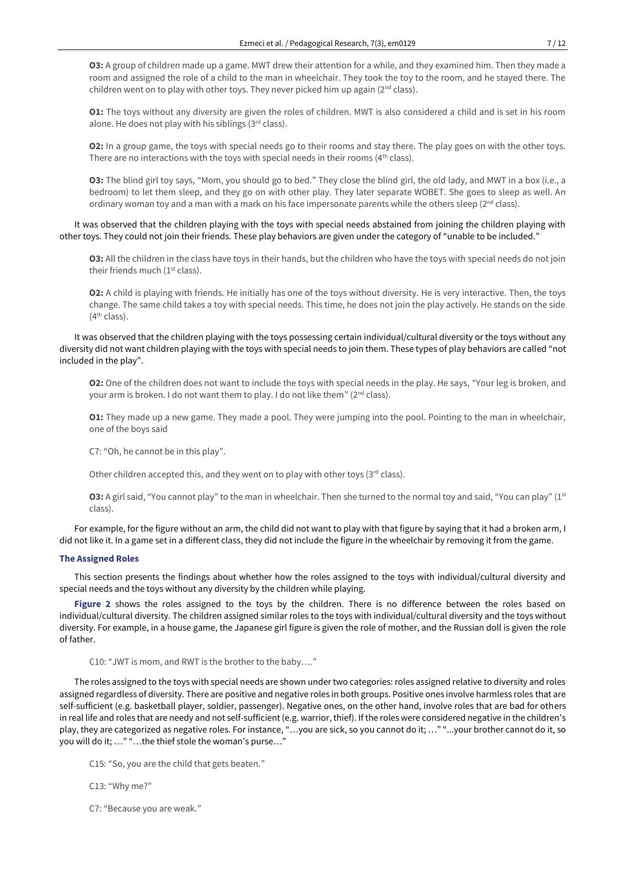**O3:** A group of children made up a game. MWT drew their attention for a while, and they examined him. Then they made a room and assigned the role of a child to the man in wheelchair. They took the toy to the room, and he stayed there. The children went on to play with other toys. They never picked him up again ( $2<sup>nd</sup>$  class).

**O1:** The toys without any diversity are given the roles of children. MWT is also considered a child and is set in his room alone. He does not play with his siblings (3rd class).

**O2:** In a group game, the toys with special needs go to their rooms and stay there. The play goes on with the other toys. There are no interactions with the toys with special needs in their rooms  $(4<sup>th</sup>$  class).

**O3:** The blind girl toy says, "Mom, you should go to bed." They close the blind girl, the old lady, and MWT in a box (i.e., a bedroom) to let them sleep, and they go on with other play. They later separate WOBET. She goes to sleep as well. An ordinary woman toy and a man with a mark on his face impersonate parents while the others sleep ( $2<sup>nd</sup>$  class).

It was observed that the children playing with the toys with special needs abstained from joining the children playing with other toys. They could not join their friends. These play behaviors are given under the category of "unable to be included."

**O3:** All the children in the class have toys in their hands, but the children who have the toys with special needs do not join their friends much (1<sup>st</sup> class).

**O2:** A child is playing with friends. He initially has one of the toys without diversity. He is very interactive. Then, the toys change. The same child takes a toy with special needs. This time, he does not join the play actively. He stands on the side (4th class).

It was observed that the children playing with the toys possessing certain individual/cultural diversity or the toys without any diversity did not want children playing with the toys with special needs to join them. These types of play behaviors are called "not included in the play".

**O2:** One of the children does not want to include the toys with special needs in the play. He says, "Your leg is broken, and your arm is broken. I do not want them to play. I do not like them" (2<sup>nd</sup> class).

**O1:** They made up a new game. They made a pool. They were jumping into the pool. Pointing to the man in wheelchair, one of the boys said

C7: "Oh, he cannot be in this play".

Other children accepted this, and they went on to play with other toys ( $3<sup>rd</sup>$  class).

**O3:** A girl said, "You cannot play" to the man in wheelchair. Then she turned to the normal toy and said, "You can play" (1<sup>st</sup> class).

For example, for the figure without an arm, the child did not want to play with that figure by saying that it had a broken arm, I did not like it. In a game set in a different class, they did not include the figure in the wheelchair by removing it from the game.

#### **The Assigned Roles**

This section presents the findings about whether how the roles assigned to the toys with individual/cultural diversity and special needs and the toys without any diversity by the children while playing.

**Figure 2** shows the roles assigned to the toys by the children. There is no difference between the roles based on individual/cultural diversity. The children assigned similar roles to the toys with individual/cultural diversity and the toys without diversity. For example, in a house game, the Japanese girl figure is given the role of mother, and the Russian doll is given the role of father.

C10: "JWT is mom, and RWT is the brother to the baby…."

The roles assigned to the toys with special needs are shown under two categories: roles assigned relative to diversity and roles assigned regardless of diversity. There are positive and negative roles in both groups. Positive ones involve harmless roles that are self-sufficient (e.g. basketball player, soldier, passenger). Negative ones, on the other hand, involve roles that are bad for others in real life and roles that are needy and not self-sufficient (e.g. warrior, thief). If the roles were considered negative in the children's play, they are categorized as negative roles. For instance, "…you are sick, so you cannot do it; …" "...your brother cannot do it, so you will do it; …" "…the thief stole the woman's purse…"

C15: "So, you are the child that gets beaten."

C13: "Why me?"

C7: "Because you are weak."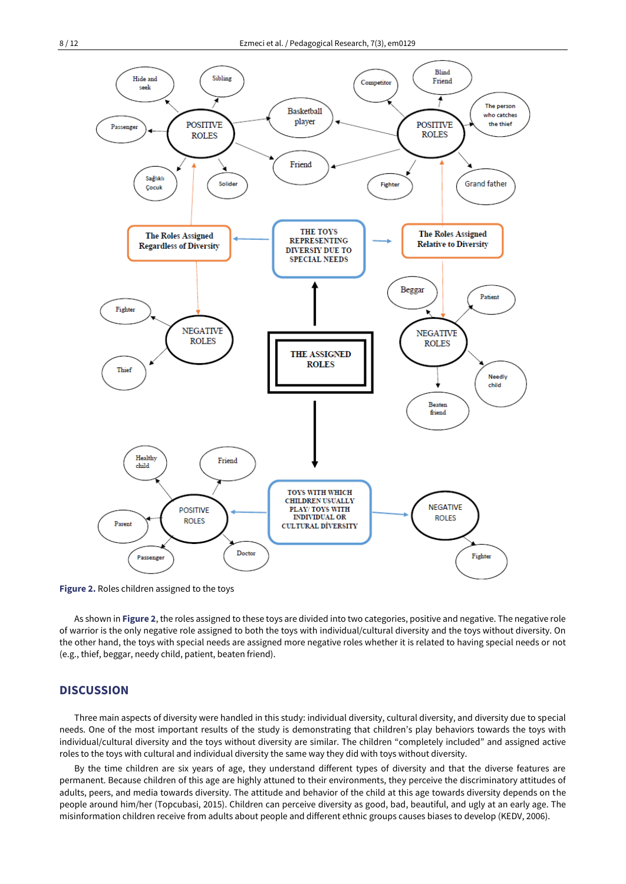

**Figure 2.** Roles children assigned to the toys

As shown in **Figure 2**, the roles assigned to these toys are divided into two categories, positive and negative. The negative role of warrior is the only negative role assigned to both the toys with individual/cultural diversity and the toys without diversity. On the other hand, the toys with special needs are assigned more negative roles whether it is related to having special needs or not (e.g., thief, beggar, needy child, patient, beaten friend).

### **DISCUSSION**

Three main aspects of diversity were handled in this study: individual diversity, cultural diversity, and diversity due to special needs. One of the most important results of the study is demonstrating that children's play behaviors towards the toys with individual/cultural diversity and the toys without diversity are similar. The children "completely included" and assigned active roles to the toys with cultural and individual diversity the same way they did with toys without diversity.

By the time children are six years of age, they understand different types of diversity and that the diverse features are permanent. Because children of this age are highly attuned to their environments, they perceive the discriminatory attitudes of adults, peers, and media towards diversity. The attitude and behavior of the child at this age towards diversity depends on the people around him/her (Topcubasi, 2015). Children can perceive diversity as good, bad, beautiful, and ugly at an early age. The misinformation children receive from adults about people and different ethnic groups causes biases to develop (KEDV, 2006).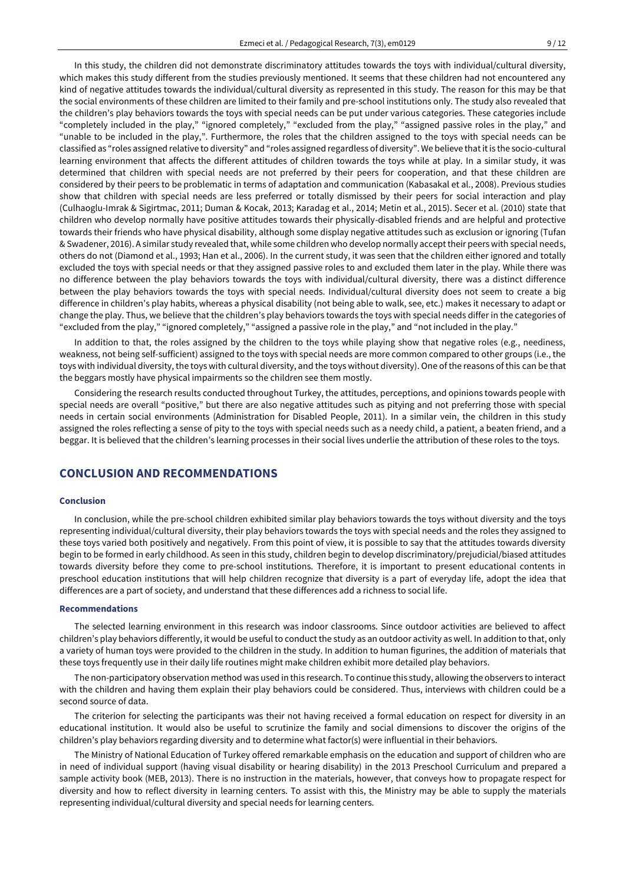In this study, the children did not demonstrate discriminatory attitudes towards the toys with individual/cultural diversity, which makes this study different from the studies previously mentioned. It seems that these children had not encountered any kind of negative attitudes towards the individual/cultural diversity as represented in this study. The reason for this may be that the social environments of these children are limited to their family and pre-school institutions only. The study also revealed that the children's play behaviors towards the toys with special needs can be put under various categories. These categories include "completely included in the play," "ignored completely," "excluded from the play," "assigned passive roles in the play," and "unable to be included in the play,". Furthermore, the roles that the children assigned to the toys with special needs can be classified as "roles assigned relative to diversity" and "roles assigned regardless of diversity". We believe that it is the socio-cultural learning environment that affects the different attitudes of children towards the toys while at play. In a similar study, it was determined that children with special needs are not preferred by their peers for cooperation, and that these children are considered by their peers to be problematic in terms of adaptation and communication (Kabasakal et al., 2008). Previous studies show that children with special needs are less preferred or totally dismissed by their peers for social interaction and play (Culhaoglu-Imrak & Sigirtmac, 2011; Duman & Kocak, 2013; Karadag et al., 2014; Metin et al., 2015). Secer et al. (2010) state that children who develop normally have positive attitudes towards their physically-disabled friends and are helpful and protective towards their friends who have physical disability, although some display negative attitudes such as exclusion or ignoring (Tufan & Swadener, 2016). A similar study revealed that, while some children who develop normally accept their peers with special needs, others do not (Diamond et al., 1993; Han et al., 2006). In the current study, it was seen that the children either ignored and totally excluded the toys with special needs or that they assigned passive roles to and excluded them later in the play. While there was no difference between the play behaviors towards the toys with individual/cultural diversity, there was a distinct difference between the play behaviors towards the toys with special needs. Individual/cultural diversity does not seem to create a big difference in children's play habits, whereas a physical disability (not being able to walk, see, etc.) makes it necessary to adapt or change the play. Thus, we believe that the children's play behaviors towards the toys with special needs differ in the categories of "excluded from the play," "ignored completely," "assigned a passive role in the play," and "not included in the play."

In addition to that, the roles assigned by the children to the toys while playing show that negative roles (e.g., neediness, weakness, not being self-sufficient) assigned to the toys with special needs are more common compared to other groups (i.e., the toys with individual diversity, the toys with cultural diversity, and the toys without diversity). One of the reasons of this can be that the beggars mostly have physical impairments so the children see them mostly.

Considering the research results conducted throughout Turkey, the attitudes, perceptions, and opinions towards people with special needs are overall "positive," but there are also negative attitudes such as pitying and not preferring those with special needs in certain social environments (Administration for Disabled People, 2011). In a similar vein, the children in this study assigned the roles reflecting a sense of pity to the toys with special needs such as a needy child, a patient, a beaten friend, and a beggar. It is believed that the children's learning processes in their social lives underlie the attribution of these roles to the toys.

### **CONCLUSION AND RECOMMENDATIONS**

#### **Conclusion**

In conclusion, while the pre-school children exhibited similar play behaviors towards the toys without diversity and the toys representing individual/cultural diversity, their play behaviors towards the toys with special needs and the roles they assigned to these toys varied both positively and negatively. From this point of view, it is possible to say that the attitudes towards diversity begin to be formed in early childhood. As seen in this study, children begin to develop discriminatory/prejudicial/biased attitudes towards diversity before they come to pre-school institutions. Therefore, it is important to present educational contents in preschool education institutions that will help children recognize that diversity is a part of everyday life, adopt the idea that differences are a part of society, and understand that these differences add a richness to social life.

#### **Recommendations**

The selected learning environment in this research was indoor classrooms. Since outdoor activities are believed to affect children's play behaviors differently, it would be useful to conduct the study as an outdoor activity as well. In addition to that, only a variety of human toys were provided to the children in the study. In addition to human figurines, the addition of materials that these toys frequently use in their daily life routines might make children exhibit more detailed play behaviors.

The non-participatory observation method was used in this research. To continue this study, allowing the observers to interact with the children and having them explain their play behaviors could be considered. Thus, interviews with children could be a second source of data.

The criterion for selecting the participants was their not having received a formal education on respect for diversity in an educational institution. It would also be useful to scrutinize the family and social dimensions to discover the origins of the children's play behaviors regarding diversity and to determine what factor(s) were influential in their behaviors.

The Ministry of National Education of Turkey offered remarkable emphasis on the education and support of children who are in need of individual support (having visual disability or hearing disability) in the 2013 Preschool Curriculum and prepared a sample activity book (MEB, 2013). There is no instruction in the materials, however, that conveys how to propagate respect for diversity and how to reflect diversity in learning centers. To assist with this, the Ministry may be able to supply the materials representing individual/cultural diversity and special needs for learning centers.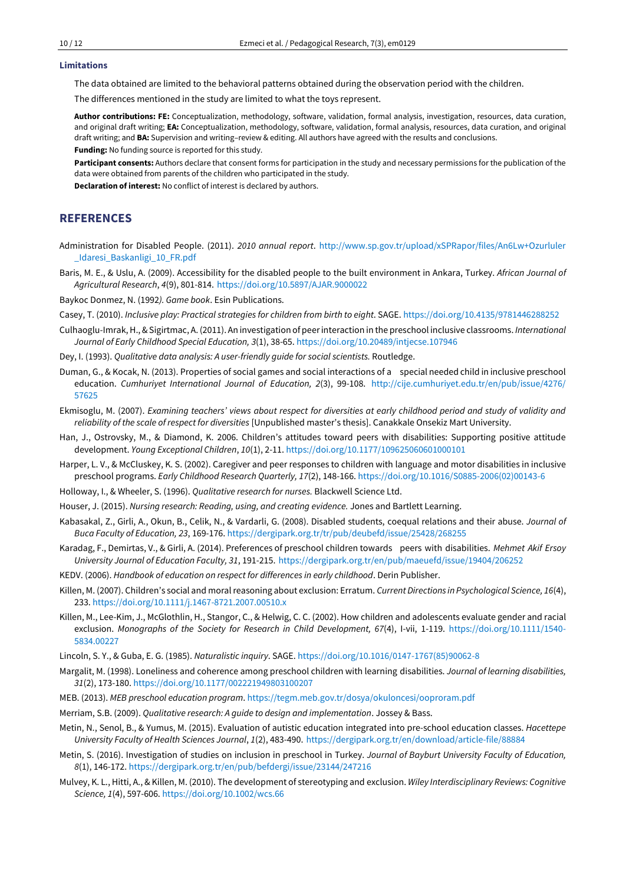### **Limitations**

The data obtained are limited to the behavioral patterns obtained during the observation period with the children.

The differences mentioned in the study are limited to what the toys represent.

**Author contributions: FE:** Conceptualization, methodology, software, validation, formal analysis, investigation, resources, data curation, and original draft writing; **EA:** Conceptualization, methodology, software, validation, formal analysis, resources, data curation, and original draft writing; and **BA:** Supervision and writing–review & editing. All authors have agreed with the results and conclusions. **Funding:** No funding source is reported for this study.

**Participant consents:** Authors declare that consent forms for participation in the study and necessary permissions for the publication of the data were obtained from parents of the children who participated in the study.

**Declaration of interest:** No conflict of interest is declared by authors.

## **REFERENCES**

Administration for Disabled People. (2011). *2010 annual report*. [http://www.sp.gov.tr/upload/xSPRapor/files/An6Lw+Ozurluler](http://www.sp.gov.tr/upload/xSPRapor/files/An6Lw+Ozurluler_Idaresi_Baskanligi_10_FR.pdf) [\\_Idaresi\\_Baskanligi\\_10\\_FR.pdf](http://www.sp.gov.tr/upload/xSPRapor/files/An6Lw+Ozurluler_Idaresi_Baskanligi_10_FR.pdf)

Baris, M. E., & Uslu, A. (2009). Accessibility for the disabled people to the built environment in Ankara, Turkey. *African Journal of Agricultural Research*, *4*(9), 801-814. <https://doi.org/10.5897/AJAR.9000022>

Baykoc Donmez, N. (1992*). Game book*. Esin Publications.

- Casey, T. (2010). *Inclusive play: Practical strategies for children from birth to eight*. SAGE. <https://doi.org/10.4135/9781446288252>
- Culhaoglu-Imrak, H., & Sigirtmac, A. (2011). An investigation of peer interaction in the preschool inclusive classrooms. *International Journal of Early Childhood Special Education, 3*(1), 38-65[. https://doi.org/10.20489/intjecse.107946](https://doi.org/10.20489/intjecse.107946)
- Dey, I. (1993). *Qualitative data analysis: A user-friendly guide for social scientists.* Routledge.
- Duman, G., & Kocak, N. (2013). Properties of social games and social interactions of a special needed child in inclusive preschool education. *Cumhuriyet International Journal of Education, 2*(3), 99-108. [http://cije.cumhuriyet.edu.tr/en/pub/issue/4276/](http://cije.cumhuriyet.edu.tr/en/pub/issue/4276/57625) [57625](http://cije.cumhuriyet.edu.tr/en/pub/issue/4276/57625)
- Ekmisoglu, M. (2007). *Examining teachers' views about respect for diversities at early childhood period and study of validity and reliability of the scale of respect for diversities* [Unpublished master's thesis]. Canakkale Onsekiz Mart University.
- Han, J., Ostrovsky, M., & Diamond, K. 2006. Children's attitudes toward peers with disabilities: Supporting positive attitude development. *Young Exceptional Children*, *10*(1), 2-11. <https://doi.org/10.1177/109625060601000101>
- Harper, L. V., & McCluskey, K. S. (2002). Caregiver and peer responses to children with language and motor disabilities in inclusive preschool programs. *Early Childhood Research Quarterly, 17*(2), 148-166. [https://doi.org/10.1016/S0885-2006\(02\)00143-6](https://doi.org/10.1016/S0885-2006(02)00143-6)
- Holloway, I., & Wheeler, S. (1996). *Qualitative research for nurses.* Blackwell Science Ltd.
- Houser, J. (2015). *Nursing research: Reading, using, and creating evidence.* Jones and Bartlett Learning.
- Kabasakal, Z., Girli, A., Okun, B., Celik, N., & Vardarli, G. (2008). Disabled students, coequal relations and their abuse. *Journal of Buca Faculty of Education, 23*, 169-176[. https://dergipark.org.tr/tr/pub/deubefd/issue/25428/268255](https://dergipark.org.tr/tr/pub/deubefd/issue/25428/268255)
- Karadag, F., Demirtas, V., & Girli, A. (2014). Preferences of preschool children towards peers with disabilities. *Mehmet Akif Ersoy University Journal of Education Faculty, 31*, 191-215. <https://dergipark.org.tr/en/pub/maeuefd/issue/19404/206252>
- KEDV. (2006). *Handbook of education on respect for differences in early childhood*. Derin Publisher.
- Killen, M. (2007). Children's social and moral reasoning about exclusion: Erratum. *Current Directions in Psychological Science, 16*(4), 233. <https://doi.org/10.1111/j.1467-8721.2007.00510.x>
- Killen, M., Lee-Kim, J., McGlothlin, H., Stangor, C., & Helwig, C. C. (2002). How children and adolescents evaluate gender and racial exclusion. *Monographs of the Society for Research in Child Development, 67*(4), I-vii, 1-119. [https://doi.org/10.1111/1540-](https://doi.org/10.1111/1540-5834.00227) [5834.00227](https://doi.org/10.1111/1540-5834.00227)
- Lincoln, S. Y., & Guba, E. G. (1985). *Naturalistic inquiry*. SAGE. [https://doi.org/10.1016/0147-1767\(85\)90062-8](https://doi.org/10.1016/0147-1767(85)90062-8)
- Margalit, M. (1998). Loneliness and coherence among preschool children with learning disabilities. *Journal of learning disabilities, 31*(2), 173-180. <https://doi.org/10.1177/002221949803100207>
- MEB. (2013). *MEB preschool education program*[. https://tegm.meb.gov.tr/dosya/okuloncesi/ooproram.pdf](https://tegm.meb.gov.tr/dosya/okuloncesi/ooproram.pdf)
- Merriam, S.B. (2009). *Qualitative research: A guide to design and implementation*. Jossey & Bass.
- Metin, N., Senol, B., & Yumus, M. (2015). Evaluation of autistic education integrated into pre-school education classes. *Hacettepe University Faculty of Health Sciences Journal*, *1*(2), 483-490. <https://dergipark.org.tr/en/download/article-file/88884>
- Metin, S. (2016). Investigation of studies on inclusion in preschool in Turkey. *Journal of Bayburt University Faculty of Education, 8*(1), 146-172.<https://dergipark.org.tr/en/pub/befdergi/issue/23144/247216>
- Mulvey, K. L., Hitti, A., & Killen, M. (2010). The development of stereotyping and exclusion. *Wiley Interdisciplinary Reviews: Cognitive Science, 1*(4), 597-606. <https://doi.org/10.1002/wcs.66>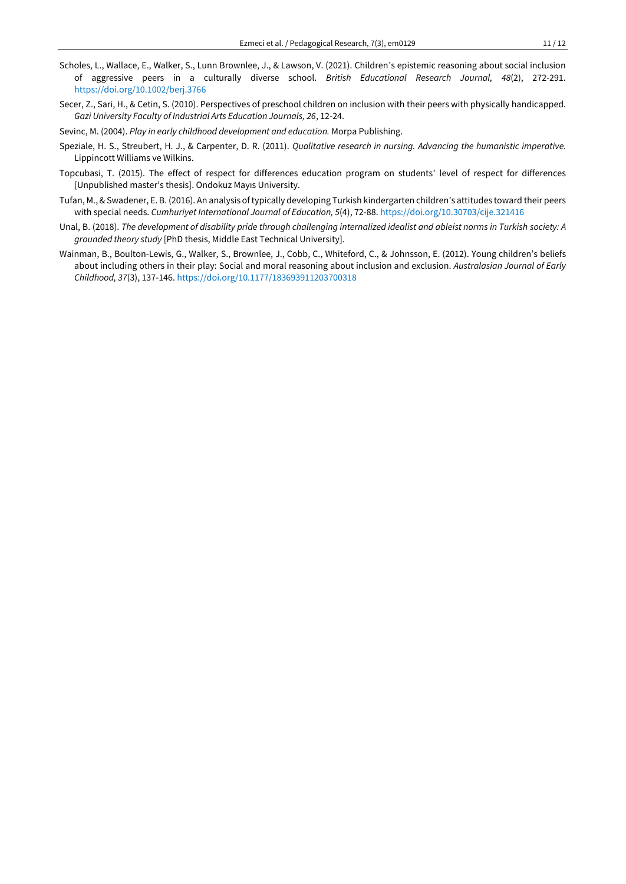- Scholes, L., Wallace, E., Walker, S., Lunn Brownlee, J., & Lawson, V. (2021). Children's epistemic reasoning about social inclusion of aggressive peers in a culturally diverse school. *British Educational Research Journal, 48*(2), 272-291. <https://doi.org/10.1002/berj.3766>
- Secer, Z., Sari, H., & Cetin, S. (2010). Perspectives of preschool children on inclusion with their peers with physically handicapped. *Gazi University Faculty of Industrial Arts Education Journals, 26*, 12-24.
- Sevinc, M. (2004). *Play in early childhood development and education.* Morpa Publishing.
- Speziale, H. S., Streubert, H. J., & Carpenter, D. R. (2011). *Qualitative research in nursing. Advancing the humanistic imperative.*  Lippincott Williams ve Wilkins.
- Topcubasi, T. (2015). The effect of respect for differences education program on students' level of respect for differences [Unpublished master's thesis]. Ondokuz Mayıs University.
- Tufan, M., & Swadener, E. B. (2016). An analysis of typically developing Turkish kindergarten children's attitudes toward their peers with special needs. *Cumhuriyet International Journal of Education, 5*(4), 72-88[. https://doi.org/10.30703/cije.321416](https://doi.org/10.30703/cije.321416)
- Unal, B. (2018). *The development of disability pride through challenging internalized idealist and ableist norms in Turkish society: A grounded theory study* [PhD thesis, Middle East Technical University].
- Wainman, B., Boulton-Lewis, G., Walker, S., Brownlee, J., Cobb, C., Whiteford, C., & Johnsson, E. (2012). Young children's beliefs about including others in their play: Social and moral reasoning about inclusion and exclusion. *Australasian Journal of Early Childhood, 37*(3), 137-146. <https://doi.org/10.1177/183693911203700318>